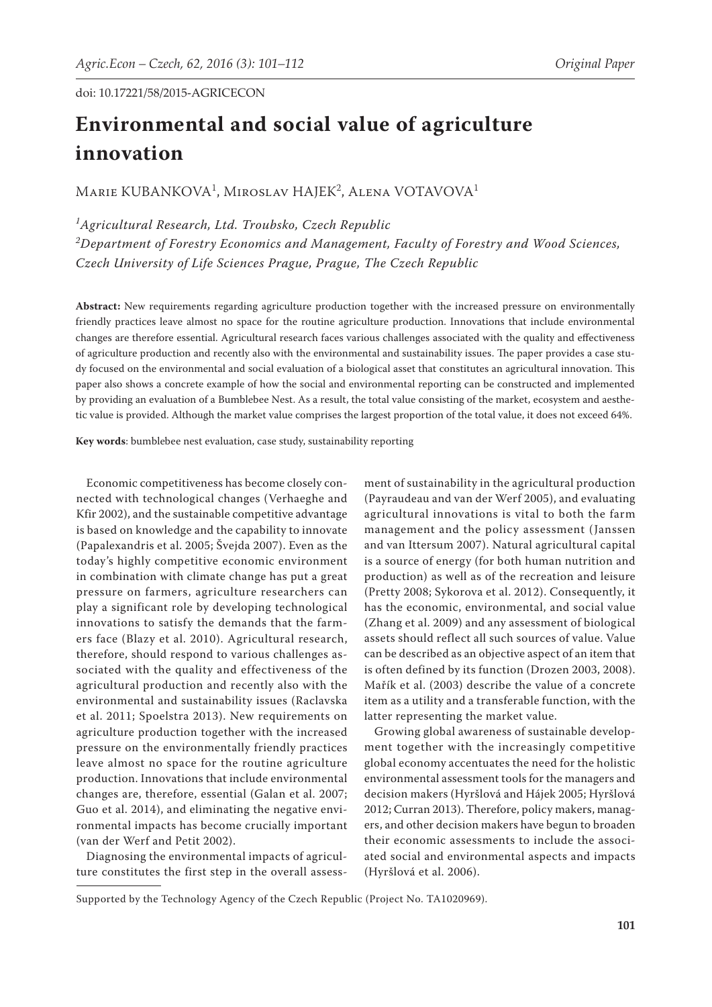# **Environmental and social value of agriculture innovation**

# $\rm M$ arie KUBANKOVA $^1$ , Miroslav HAJEK $^2$ , Alena VOTAVOVA $^1$

*1 Agricultural Research, Ltd. Troubsko, Czech Republic*

*2 Department of Forestry Economics and Management, Faculty of Forestry and Wood Sciences, Czech University of Life Sciences Prague, Prague, The Czech Republic*

**Abstract:** New requirements regarding agriculture production together with the increased pressure on environmentally friendly practices leave almost no space for the routine agriculture production. Innovations that include environmental changes are therefore essential. Agricultural research faces various challenges associated with the quality and effectiveness of agriculture production and recently also with the environmental and sustainability issues. The paper provides a case study focused on the environmental and social evaluation of a biological asset that constitutes an agricultural innovation. This paper also shows a concrete example of how the social and environmental reporting can be constructed and implemented by providing an evaluation of a Bumblebee Nest. As a result, the total value consisting of the market, ecosystem and aesthetic value is provided. Although the market value comprises the largest proportion of the total value, it does not exceed 64%.

**Key words**: bumblebee nest evaluation, case study, sustainability reporting

Economic competitiveness has become closely connected with technological changes (Verhaeghe and Kfir 2002), and the sustainable competitive advantage is based on knowledge and the capability to innovate (Papalexandris et al. 2005; Švejda 2007). Even as the today's highly competitive economic environment in combination with climate change has put a great pressure on farmers, agriculture researchers can play a significant role by developing technological innovations to satisfy the demands that the farmers face (Blazy et al. 2010). Agricultural research, therefore, should respond to various challenges associated with the quality and effectiveness of the agricultural production and recently also with the environmental and sustainability issues (Raclavska et al. 2011; Spoelstra 2013). New requirements on agriculture production together with the increased pressure on the environmentally friendly practices leave almost no space for the routine agriculture production. Innovations that include environmental changes are, therefore, essential (Galan et al. 2007; Guo et al. 2014), and eliminating the negative environmental impacts has become crucially important (van der Werf and Petit 2002).

Diagnosing the environmental impacts of agriculture constitutes the first step in the overall assess-

ment of sustainability in the agricultural production (Payraudeau and van der Werf 2005), and evaluating agricultural innovations is vital to both the farm management and the policy assessment (Janssen and van Ittersum 2007). Natural agricultural capital is a source of energy (for both human nutrition and production) as well as of the recreation and leisure (Pretty 2008; Sykorova et al. 2012). Consequently, it has the economic, environmental, and social value (Zhang et al. 2009) and any assessment of biological assets should reflect all such sources of value. Value can be described as an objective aspect of an item that is often defined by its function (Drozen 2003, 2008). Mařík et al. (2003) describe the value of a concrete item as a utility and a transferable function, with the latter representing the market value.

Growing global awareness of sustainable development together with the increasingly competitive global economy accentuates the need for the holistic environmental assessment tools for the managers and decision makers (Hyršlová and Hájek 2005; Hyršlová 2012; Curran 2013). Therefore, policy makers, managers, and other decision makers have begun to broaden their economic assessments to include the associated social and environmental aspects and impacts (Hyršlová et al. 2006).

Supported by the Technology Agency of the Czech Republic (Project No. TA1020969).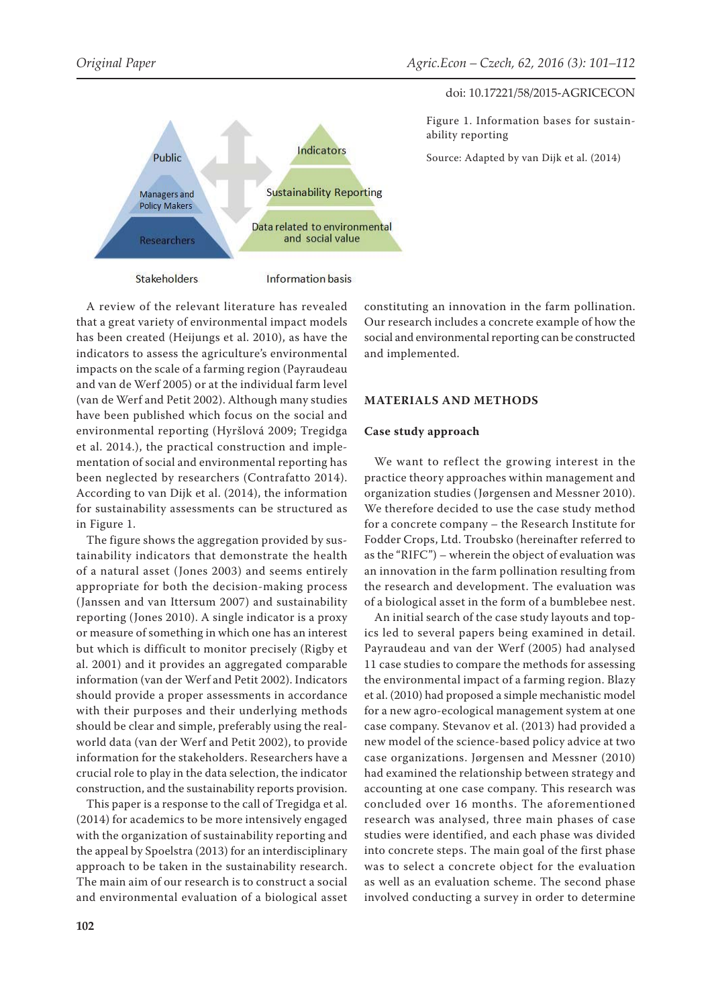

Figure 1. Information bases for sustainability reporting

Source: Adapted by van Dijk et al. (2014)



A review of the relevant literature has revealed that a great variety of environmental impact models has been created (Heijungs et al. 2010), as have the indicators to assess the agriculture's environmental impacts on the scale of a farming region (Payraudeau and van de Werf 2005) or at the individual farm level (van de Werf and Petit 2002). Although many studies have been published which focus on the social and environmental reporting (Hyršlová 2009; Tregidga et al. 2014.), the practical construction and implementation of social and environmental reporting has been neglected by researchers (Contrafatto 2014). According to van Dijk et al. (2014), the information for sustainability assessments can be structured as in Figure 1.

The figure shows the aggregation provided by sustainability indicators that demonstrate the health of a natural asset (Jones 2003) and seems entirely appropriate for both the decision-making process (Janssen and van Ittersum 2007) and sustainability reporting (Jones 2010). A single indicator is a proxy or measure of something in which one has an interest but which is difficult to monitor precisely (Rigby et al. 2001) and it provides an aggregated comparable information (van der Werf and Petit 2002). Indicators should provide a proper assessments in accordance with their purposes and their underlying methods should be clear and simple, preferably using the realworld data (van der Werf and Petit 2002), to provide information for the stakeholders. Researchers have a crucial role to play in the data selection, the indicator construction, and the sustainability reports provision.

This paper is a response to the call of Tregidga et al. (2014) for academics to be more intensively engaged with the organization of sustainability reporting and the appeal by Spoelstra (2013) for an interdisciplinary approach to be taken in the sustainability research. The main aim of our research is to construct a social and environmental evaluation of a biological asset constituting an innovation in the farm pollination. Our research includes a concrete example of how the social and environmental reporting can be constructed and implemented.

## **MATERIALS AND METHODS**

#### **Case study approach**

We want to reflect the growing interest in the practice theory approaches within management and organization studies (Jørgensen and Messner 2010). We therefore decided to use the case study method for a concrete company – the Research Institute for Fodder Crops, Ltd. Troubsko (hereinafter referred to as the "RIFC") – wherein the object of evaluation was an innovation in the farm pollination resulting from the research and development. The evaluation was of a biological asset in the form of a bumblebee nest.

An initial search of the case study layouts and topics led to several papers being examined in detail. Payraudeau and van der Werf (2005) had analysed 11 case studies to compare the methods for assessing the environmental impact of a farming region. Blazy et al. (2010) had proposed a simple mechanistic model for a new agro-ecological management system at one case company. Stevanov et al. (2013) had provided a new model of the science-based policy advice at two case organizations. Jørgensen and Messner (2010) had examined the relationship between strategy and accounting at one case company. This research was concluded over 16 months. The aforementioned research was analysed, three main phases of case studies were identified, and each phase was divided into concrete steps. The main goal of the first phase was to select a concrete object for the evaluation as well as an evaluation scheme. The second phase involved conducting a survey in order to determine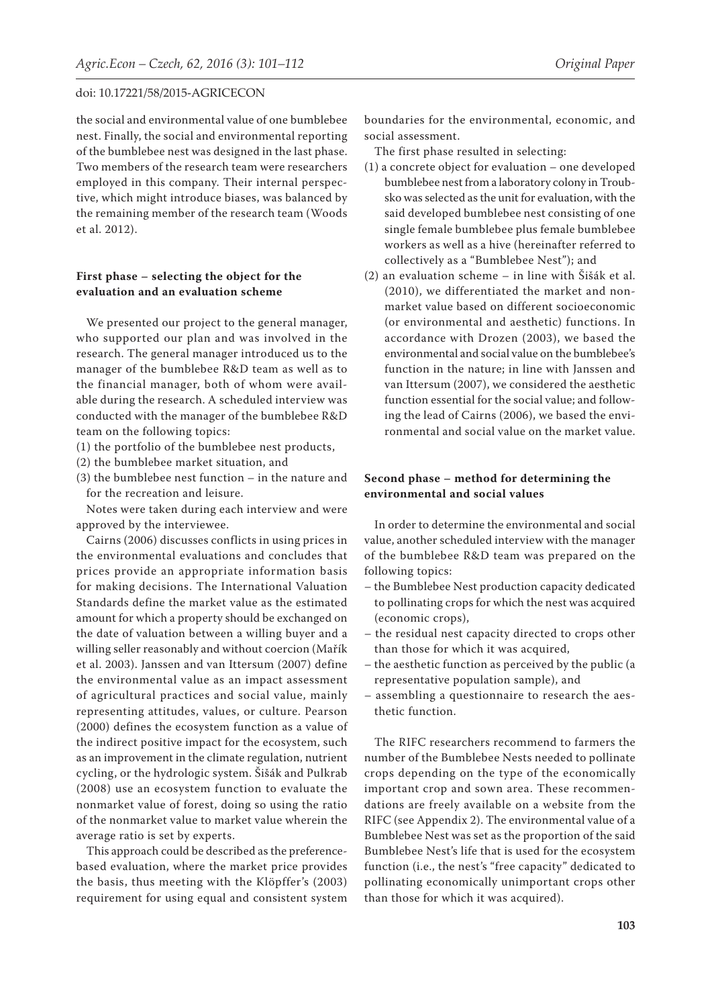the social and environmental value of one bumblebee nest. Finally, the social and environmental reporting of the bumblebee nest was designed in the last phase. Two members of the research team were researchers employed in this company. Their internal perspective, which might introduce biases, was balanced by the remaining member of the research team (Woods et al. 2012).

# **First phase – selecting the object for the evaluation and an evaluation scheme**

We presented our project to the general manager, who supported our plan and was involved in the research. The general manager introduced us to the manager of the bumblebee R&D team as well as to the financial manager, both of whom were available during the research. A scheduled interview was conducted with the manager of the bumblebee R&D team on the following topics:

(1) the portfolio of the bumblebee nest products,

- (2) the bumblebee market situation, and
- (3) the bumblebee nest function in the nature and for the recreation and leisure.

Notes were taken during each interview and were approved by the interviewee.

Cairns (2006) discusses conflicts in using prices in the environmental evaluations and concludes that prices provide an appropriate information basis for making decisions. The International Valuation Standards define the market value as the estimated amount for which a property should be exchanged on the date of valuation between a willing buyer and a willing seller reasonably and without coercion (Mařík et al. 2003). Janssen and van Ittersum (2007) define the environmental value as an impact assessment of agricultural practices and social value, mainly representing attitudes, values, or culture. Pearson (2000) defines the ecosystem function as a value of the indirect positive impact for the ecosystem, such as an improvement in the climate regulation, nutrient cycling, or the hydrologic system. Šišák and Pulkrab (2008) use an ecosystem function to evaluate the nonmarket value of forest, doing so using the ratio of the nonmarket value to market value wherein the average ratio is set by experts.

This approach could be described as the preferencebased evaluation, where the market price provides the basis, thus meeting with the Klöpffer's (2003) requirement for using equal and consistent system

boundaries for the environmental, economic, and social assessment.

The first phase resulted in selecting:

- (1) a concrete object for evaluation one developed bumblebee nest from a laboratory colony in Troubsko was selected as the unit for evaluation, with the said developed bumblebee nest consisting of one single female bumblebee plus female bumblebee workers as well as a hive (hereinafter referred to collectively as a "Bumblebee Nest"); and
- (2) an evaluation scheme in line with Šišák et al. (2010), we differentiated the market and nonmarket value based on different socioeconomic (or environmental and aesthetic) functions. In accordance with Drozen (2003), we based the environmental and social value on the bumblebee's function in the nature; in line with Janssen and van Ittersum (2007), we considered the aesthetic function essential for the social value; and following the lead of Cairns (2006), we based the environmental and social value on the market value.

# **Second phase – method for determining the environmental and social values**

In order to determine the environmental and social value, another scheduled interview with the manager of the bumblebee R&D team was prepared on the following topics:

- the Bumblebee Nest production capacity dedicated to pollinating crops for which the nest was acquired (economic crops),
- the residual nest capacity directed to crops other than those for which it was acquired,
- the aesthetic function as perceived by the public (a representative population sample), and
- assembling a questionnaire to research the aesthetic function.

The RIFC researchers recommend to farmers the number of the Bumblebee Nests needed to pollinate crops depending on the type of the economically important crop and sown area. These recommendations are freely available on a website from the RIFC (see Appendix 2). The environmental value of a Bumblebee Nest was set as the proportion of the said Bumblebee Nest's life that is used for the ecosystem function (i.e., the nest's "free capacity" dedicated to pollinating economically unimportant crops other than those for which it was acquired).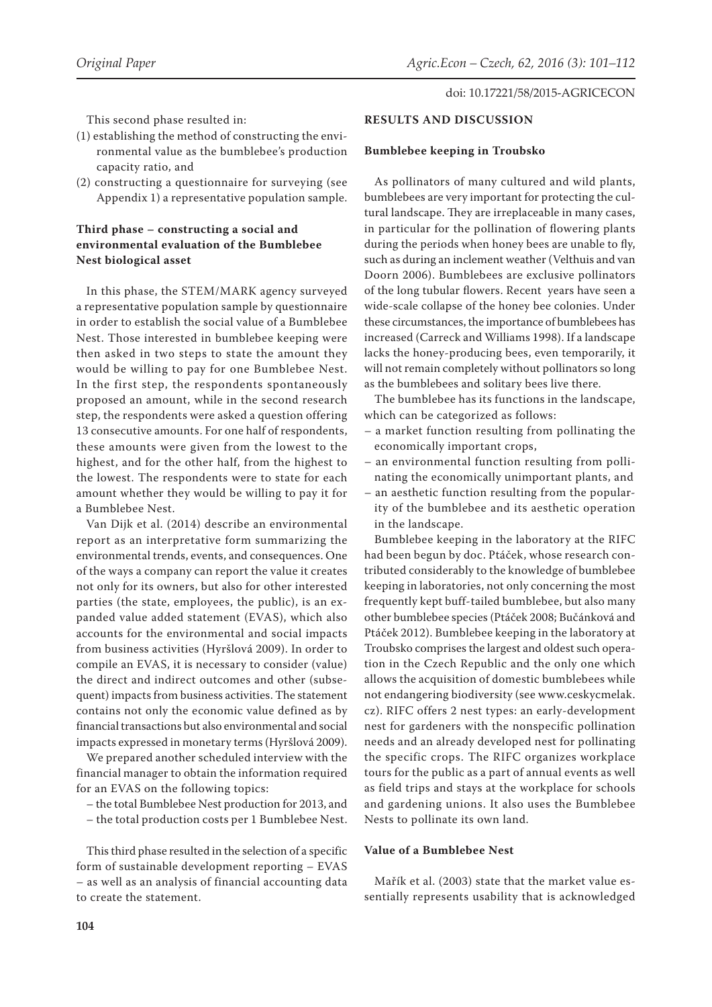This second phase resulted in:

- (1) establishing the method of constructing the environmental value as the bumblebee's production capacity ratio, and
- (2) constructing a questionnaire for surveying (see Appendix 1) a representative population sample.

# **Third phase – constructing a social and environmental evaluation of the Bumblebee Nest biological asset**

In this phase, the STEM/MARK agency surveyed a representative population sample by questionnaire in order to establish the social value of a Bumblebee Nest. Those interested in bumblebee keeping were then asked in two steps to state the amount they would be willing to pay for one Bumblebee Nest. In the first step, the respondents spontaneously proposed an amount, while in the second research step, the respondents were asked a question offering 13 consecutive amounts. For one half of respondents, these amounts were given from the lowest to the highest, and for the other half, from the highest to the lowest. The respondents were to state for each amount whether they would be willing to pay it for a Bumblebee Nest.

Van Dijk et al. (2014) describe an environmental report as an interpretative form summarizing the environmental trends, events, and consequences. One of the ways a company can report the value it creates not only for its owners, but also for other interested parties (the state, employees, the public), is an expanded value added statement (EVAS), which also accounts for the environmental and social impacts from business activities (Hyršlová 2009). In order to compile an EVAS, it is necessary to consider (value) the direct and indirect outcomes and other (subsequent) impacts from business activities. The statement contains not only the economic value defined as by financial transactions but also environmental and social impacts expressed in monetary terms (Hyršlová 2009).

We prepared another scheduled interview with the financial manager to obtain the information required for an EVAS on the following topics:

- the total Bumblebee Nest production for 2013, and
- the total production costs per 1 Bumblebee Nest.

This third phase resulted in the selection of a specific form of sustainable development reporting – EVAS – as well as an analysis of financial accounting data to create the statement.

## **RESULTS AND DISCUSSION**

#### **Bumblebee keeping in Troubsko**

As pollinators of many cultured and wild plants, bumblebees are very important for protecting the cultural landscape. They are irreplaceable in many cases, in particular for the pollination of flowering plants during the periods when honey bees are unable to fly, such as during an inclement weather (Velthuis and van Doorn 2006). Bumblebees are exclusive pollinators of the long tubular flowers. Recent years have seen a wide-scale collapse of the honey bee colonies. Under these circumstances, the importance of bumblebees has increased (Carreck and Williams 1998). If a landscape lacks the honey-producing bees, even temporarily, it will not remain completely without pollinators so long as the bumblebees and solitary bees live there.

The bumblebee has its functions in the landscape, which can be categorized as follows:

- a market function resulting from pollinating the economically important crops,
- an environmental function resulting from pollinating the economically unimportant plants, and
- an aesthetic function resulting from the popularity of the bumblebee and its aesthetic operation in the landscape.

Bumblebee keeping in the laboratory at the RIFC had been begun by doc. Ptáček, whose research contributed considerably to the knowledge of bumblebee keeping in laboratories, not only concerning the most frequently kept buff-tailed bumblebee, but also many other bumblebee species (Ptáček 2008; Bučánková and Ptáček 2012). Bumblebee keeping in the laboratory at Troubsko comprises the largest and oldest such operation in the Czech Republic and the only one which allows the acquisition of domestic bumblebees while not endangering biodiversity (see www.ceskycmelak. cz). RIFC offers 2 nest types: an early-development nest for gardeners with the nonspecific pollination needs and an already developed nest for pollinating the specific crops. The RIFC organizes workplace tours for the public as a part of annual events as well as field trips and stays at the workplace for schools and gardening unions. It also uses the Bumblebee Nests to pollinate its own land.

#### **Value of a Bumblebee Nest**

Mařík et al. (2003) state that the market value essentially represents usability that is acknowledged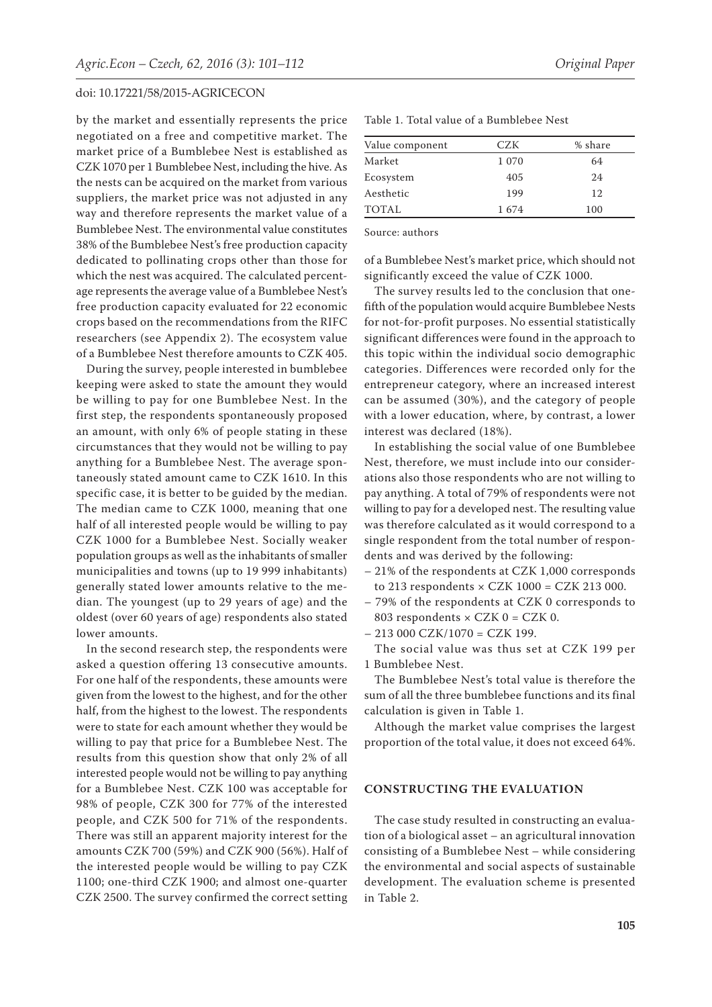by the market and essentially represents the price negotiated on a free and competitive market. The market price of a Bumblebee Nest is established as CZK 1070 per 1 Bumblebee Nest, including the hive. As the nests can be acquired on the market from various suppliers, the market price was not adjusted in any way and therefore represents the market value of a Bumblebee Nest. The environmental value constitutes 38% of the Bumblebee Nest's free production capacity dedicated to pollinating crops other than those for which the nest was acquired. The calculated percentage represents the average value of a Bumblebee Nest's free production capacity evaluated for 22 economic crops based on the recommendations from the RIFC researchers (see Appendix 2). The ecosystem value of a Bumblebee Nest therefore amounts to CZK 405.

During the survey, people interested in bumblebee keeping were asked to state the amount they would be willing to pay for one Bumblebee Nest. In the first step, the respondents spontaneously proposed an amount, with only 6% of people stating in these circumstances that they would not be willing to pay anything for a Bumblebee Nest. The average spontaneously stated amount came to CZK 1610. In this specific case, it is better to be guided by the median. The median came to CZK 1000, meaning that one half of all interested people would be willing to pay CZK 1000 for a Bumblebee Nest. Socially weaker population groups as well as the inhabitants of smaller municipalities and towns (up to 19 999 inhabitants) generally stated lower amounts relative to the median. The youngest (up to 29 years of age) and the oldest (over 60 years of age) respondents also stated lower amounts.

In the second research step, the respondents were asked a question offering 13 consecutive amounts. For one half of the respondents, these amounts were given from the lowest to the highest, and for the other half, from the highest to the lowest. The respondents were to state for each amount whether they would be willing to pay that price for a Bumblebee Nest. The results from this question show that only 2% of all interested people would not be willing to pay anything for a Bumblebee Nest. CZK 100 was acceptable for 98% of people, CZK 300 for 77% of the interested people, and CZK 500 for 71% of the respondents. There was still an apparent majority interest for the amounts CZK 700 (59%) and CZK 900 (56%). Half of the interested people would be willing to pay CZK 1100; one-third CZK 1900; and almost one-quarter CZK 2500. The survey confirmed the correct setting

| Value component | CZK     | % share |
|-----------------|---------|---------|
| Market          | 1 0 7 0 | 64      |
| Ecosystem       | 405     | 24      |
| Aesthetic       | 199     | 12      |
| <b>TOTAL</b>    | 1674    | 100     |

Table 1. Total value of a Bumblebee Nest

Source: authors

of a Bumblebee Nest's market price, which should not significantly exceed the value of CZK 1000.

The survey results led to the conclusion that onefifth of the population would acquire Bumblebee Nests for not-for-profit purposes. No essential statistically significant differences were found in the approach to this topic within the individual socio demographic categories. Differences were recorded only for the entrepreneur category, where an increased interest can be assumed (30%), and the category of people with a lower education, where, by contrast, a lower interest was declared (18%).

In establishing the social value of one Bumblebee Nest, therefore, we must include into our considerations also those respondents who are not willing to pay anything. A total of 79% of respondents were not willing to pay for a developed nest. The resulting value was therefore calculated as it would correspond to a single respondent from the total number of respondents and was derived by the following:

- 21% of the respondents at CZK 1,000 corresponds to 213 respondents  $\times$  CZK 1000 = CZK 213 000.
- 79% of the respondents at CZK 0 corresponds to 803 respondents  $\times$  CZK 0 = CZK 0.
- $-213000$  CZK/1070 = CZK 199.

The social value was thus set at CZK 199 per 1 Bumblebee Nest.

The Bumblebee Nest's total value is therefore the sum of all the three bumblebee functions and its final calculation is given in Table 1.

Although the market value comprises the largest proportion of the total value, it does not exceed 64%.

#### **CONSTRUCTING THE EVALUATION**

The case study resulted in constructing an evaluation of a biological asset – an agricultural innovation consisting of a Bumblebee Nest – while considering the environmental and social aspects of sustainable development. The evaluation scheme is presented in Table 2.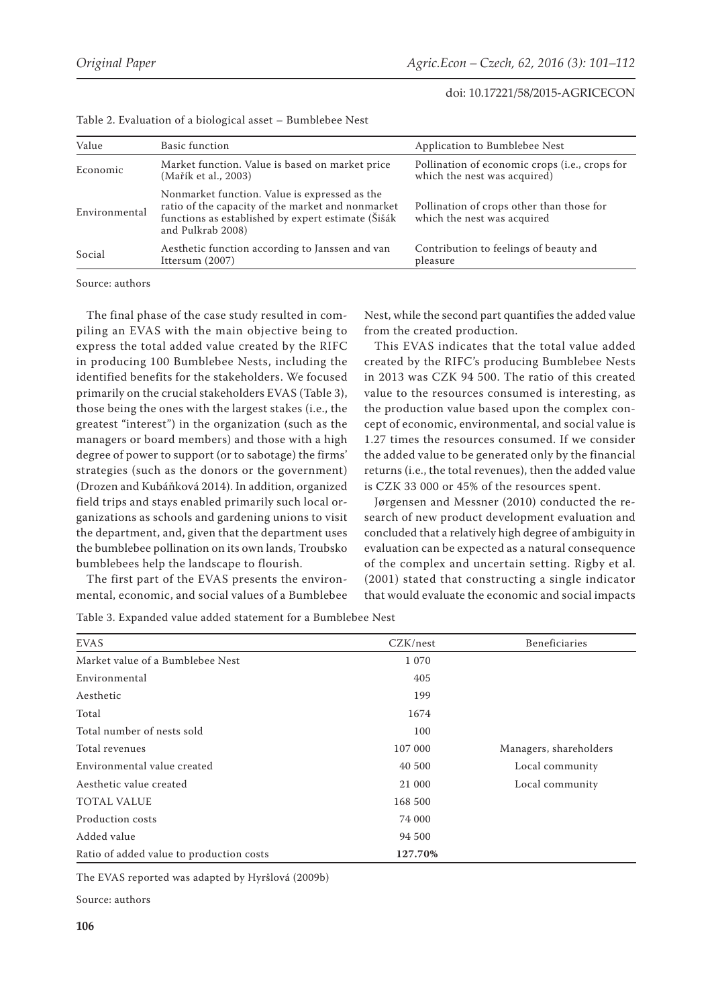| Value         | Basic function                                                                                                                                                                | Application to Bumblebee Nest                                                           |
|---------------|-------------------------------------------------------------------------------------------------------------------------------------------------------------------------------|-----------------------------------------------------------------------------------------|
| Economic      | Market function. Value is based on market price<br>(Mařík et al., 2003)                                                                                                       | Pollination of economic crops ( <i>i.e.</i> , crops for<br>which the nest was acquired) |
| Environmental | Nonmarket function. Value is expressed as the<br>ratio of the capacity of the market and nonmarket<br>functions as established by expert estimate (Šišák<br>and Pulkrab 2008) | Pollination of crops other than those for<br>which the nest was acquired                |
| Social        | Aesthetic function according to Janssen and van<br>Ittersum (2007)                                                                                                            | Contribution to feelings of beauty and<br>pleasure                                      |

| Table 2. Evaluation of a biological asset - Bumblebee Nest |  |  |  |  |  |  |  |  |  |  |
|------------------------------------------------------------|--|--|--|--|--|--|--|--|--|--|
|------------------------------------------------------------|--|--|--|--|--|--|--|--|--|--|

Source: authors

The final phase of the case study resulted in compiling an EVAS with the main objective being to express the total added value created by the RIFC in producing 100 Bumblebee Nests, including the identified benefits for the stakeholders. We focused primarily on the crucial stakeholders EVAS (Table 3), those being the ones with the largest stakes (i.e., the greatest "interest") in the organization (such as the managers or board members) and those with a high degree of power to support (or to sabotage) the firms' strategies (such as the donors or the government) (Drozen and Kubáňková 2014). In addition, organized field trips and stays enabled primarily such local organizations as schools and gardening unions to visit the department, and, given that the department uses the bumblebee pollination on its own lands, Troubsko bumblebees help the landscape to flourish.

The first part of the EVAS presents the environmental, economic, and social values of a Bumblebee Nest, while the second part quantifies the added value from the created production.

This EVAS indicates that the total value added created by the RIFC's producing Bumblebee Nests in 2013 was CZK 94 500. The ratio of this created value to the resources consumed is interesting, as the production value based upon the complex concept of economic, environmental, and social value is 1.27 times the resources consumed. If we consider the added value to be generated only by the financial returns (i.e., the total revenues), then the added value is CZK 33 000 or 45% of the resources spent.

Jørgensen and Messner (2010) conducted the research of new product development evaluation and concluded that a relatively high degree of ambiguity in evaluation can be expected as a natural consequence of the complex and uncertain setting. Rigby et al. (2001) stated that constructing a single indicator that would evaluate the economic and social impacts

|  |  |  |  |  |  | Table 3. Expanded value added statement for a Bumblebee Nest |  |
|--|--|--|--|--|--|--------------------------------------------------------------|--|
|--|--|--|--|--|--|--------------------------------------------------------------|--|

| <b>EVAS</b>                              | CZK/nest | Beneficiaries          |
|------------------------------------------|----------|------------------------|
| Market value of a Bumblebee Nest         | 1 0 7 0  |                        |
| Environmental                            | 405      |                        |
| Aesthetic                                | 199      |                        |
| Total                                    | 1674     |                        |
| Total number of nests sold               | 100      |                        |
| Total revenues                           | 107 000  | Managers, shareholders |
| Environmental value created              | 40 500   | Local community        |
| Aesthetic value created                  | 21 000   | Local community        |
| <b>TOTAL VALUE</b>                       | 168 500  |                        |
| Production costs                         | 74 000   |                        |
| Added value                              | 94 500   |                        |
| Ratio of added value to production costs | 127.70%  |                        |

The EVAS reported was adapted by Hyršlová (2009b)

Source: authors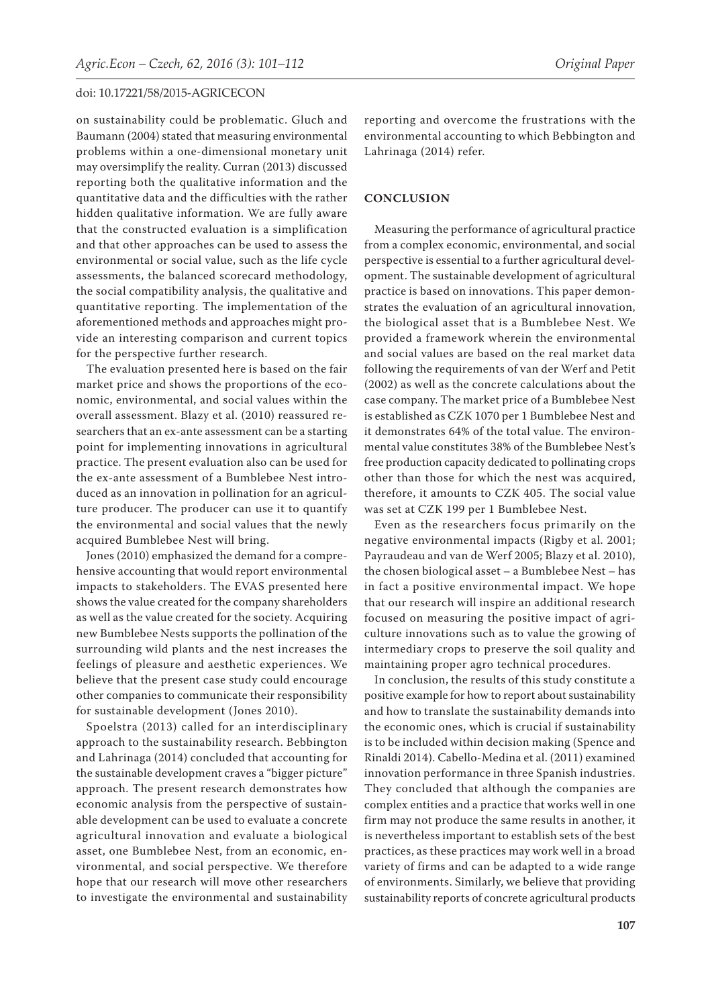on sustainability could be problematic. Gluch and Baumann (2004) stated that measuring environmental problems within a one-dimensional monetary unit may oversimplify the reality. Curran (2013) discussed reporting both the qualitative information and the quantitative data and the difficulties with the rather hidden qualitative information. We are fully aware that the constructed evaluation is a simplification and that other approaches can be used to assess the environmental or social value, such as the life cycle assessments, the balanced scorecard methodology, the social compatibility analysis, the qualitative and quantitative reporting. The implementation of the aforementioned methods and approaches might provide an interesting comparison and current topics for the perspective further research.

The evaluation presented here is based on the fair market price and shows the proportions of the economic, environmental, and social values within the overall assessment. Blazy et al. (2010) reassured researchers that an ex-ante assessment can be a starting point for implementing innovations in agricultural practice. The present evaluation also can be used for the ex-ante assessment of a Bumblebee Nest introduced as an innovation in pollination for an agriculture producer. The producer can use it to quantify the environmental and social values that the newly acquired Bumblebee Nest will bring.

Jones (2010) emphasized the demand for a comprehensive accounting that would report environmental impacts to stakeholders. The EVAS presented here shows the value created for the company shareholders as well as the value created for the society. Acquiring new Bumblebee Nests supports the pollination of the surrounding wild plants and the nest increases the feelings of pleasure and aesthetic experiences. We believe that the present case study could encourage other companies to communicate their responsibility for sustainable development (Jones 2010).

Spoelstra (2013) called for an interdisciplinary approach to the sustainability research. Bebbington and Lahrinaga (2014) concluded that accounting for the sustainable development craves a "bigger picture" approach. The present research demonstrates how economic analysis from the perspective of sustainable development can be used to evaluate a concrete agricultural innovation and evaluate a biological asset, one Bumblebee Nest, from an economic, environmental, and social perspective. We therefore hope that our research will move other researchers to investigate the environmental and sustainability

reporting and overcome the frustrations with the environmental accounting to which Bebbington and Lahrinaga (2014) refer.

#### **CONCLUSION**

Measuring the performance of agricultural practice from a complex economic, environmental, and social perspective is essential to a further agricultural development. The sustainable development of agricultural practice is based on innovations. This paper demonstrates the evaluation of an agricultural innovation, the biological asset that is a Bumblebee Nest. We provided a framework wherein the environmental and social values are based on the real market data following the requirements of van der Werf and Petit (2002) as well as the concrete calculations about the case company. The market price of a Bumblebee Nest is established as CZK 1070 per 1 Bumblebee Nest and it demonstrates 64% of the total value. The environmental value constitutes 38% of the Bumblebee Nest's free production capacity dedicated to pollinating crops other than those for which the nest was acquired, therefore, it amounts to CZK 405. The social value was set at CZK 199 per 1 Bumblebee Nest.

Even as the researchers focus primarily on the negative environmental impacts (Rigby et al. 2001; Payraudeau and van de Werf 2005; Blazy et al. 2010), the chosen biological asset – a Bumblebee Nest – has in fact a positive environmental impact. We hope that our research will inspire an additional research focused on measuring the positive impact of agriculture innovations such as to value the growing of intermediary crops to preserve the soil quality and maintaining proper agro technical procedures.

In conclusion, the results of this study constitute a positive example for how to report about sustainability and how to translate the sustainability demands into the economic ones, which is crucial if sustainability is to be included within decision making (Spence and Rinaldi 2014). Cabello-Medina et al. (2011) examined innovation performance in three Spanish industries. They concluded that although the companies are complex entities and a practice that works well in one firm may not produce the same results in another, it is nevertheless important to establish sets of the best practices, as these practices may work well in a broad variety of firms and can be adapted to a wide range of environments. Similarly, we believe that providing sustainability reports of concrete agricultural products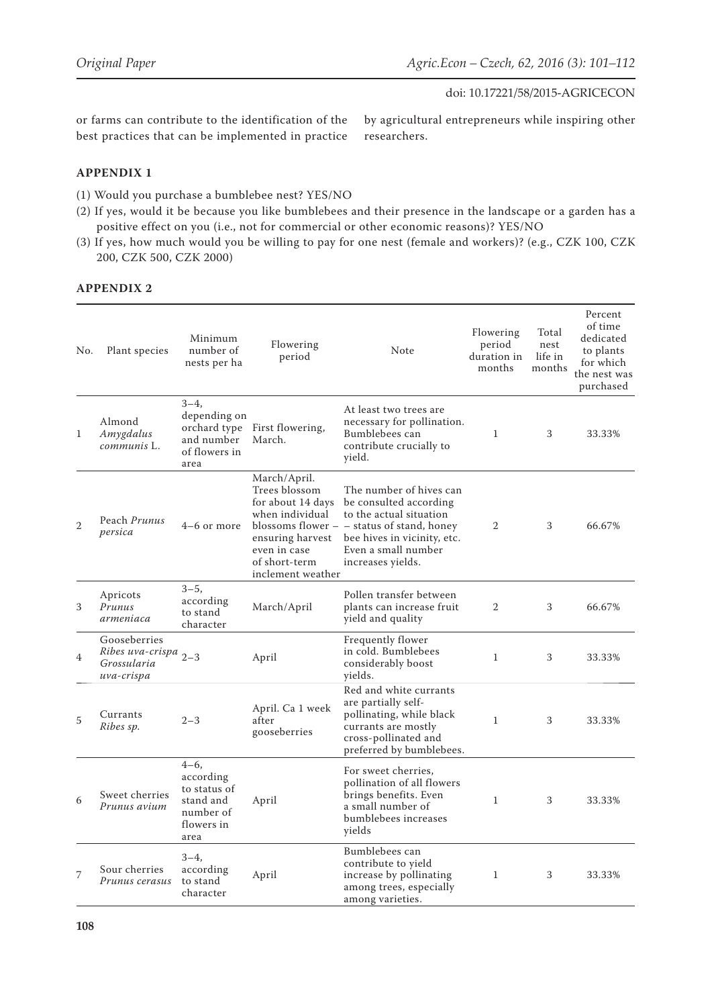or farms can contribute to the identification of the best practices that can be implemented in practice

by agricultural entrepreneurs while inspiring other researchers.

# **APPENDIX 1**

- (1) Would you purchase a bumblebee nest? YES/NO
- (2) If yes, would it be because you like bumblebees and their presence in the landscape or a garden has a positive effect on you (i.e., not for commercial or other economic reasons)? YES/NO
- (3) If yes, how much would you be willing to pay for one nest (female and workers)? (e.g., CZK 100, CZK 200, CZK 500, CZK 2000)

# **APPENDIX 2**

| No.            | Plant species                                                          | Minimum<br>number of<br>nests per ha                                                  | Flowering<br>period                                                                                                                             | Note                                                                                                                                                                                                    | Flowering<br>period<br>duration in<br>months | Total<br>nest<br>life in<br>months | Percent<br>of time<br>dedicated<br>to plants<br>for which<br>the nest was<br>purchased |
|----------------|------------------------------------------------------------------------|---------------------------------------------------------------------------------------|-------------------------------------------------------------------------------------------------------------------------------------------------|---------------------------------------------------------------------------------------------------------------------------------------------------------------------------------------------------------|----------------------------------------------|------------------------------------|----------------------------------------------------------------------------------------|
| $\mathbf{1}$   | Almond<br>Amygdalus<br>communis L.                                     | $3 - 4$ ,<br>depending on<br>orchard type<br>and number<br>of flowers in<br>area      | First flowering,<br>March.                                                                                                                      | At least two trees are<br>necessary for pollination.<br>Bumblebees can<br>contribute crucially to<br>yield.                                                                                             | $\mathbf{1}$                                 | 3                                  | 33.33%                                                                                 |
| $\overline{2}$ | Peach Prunus<br>persica                                                | 4–6 or more                                                                           | March/April.<br>Trees blossom<br>for about 14 days<br>when individual<br>ensuring harvest<br>even in case<br>of short-term<br>inclement weather | The number of hives can<br>be consulted according<br>to the actual situation<br>blossoms flower $-$ - status of stand, honey<br>bee hives in vicinity, etc.<br>Even a small number<br>increases yields. | $\overline{2}$                               | 3                                  | 66.67%                                                                                 |
| 3              | Apricots<br>Prunus<br>armeniaca                                        | $3 - 5,$<br>according<br>to stand<br>character                                        | March/April                                                                                                                                     | Pollen transfer between<br>plants can increase fruit<br>yield and quality                                                                                                                               | $\overline{2}$                               | 3                                  | 66.67%                                                                                 |
| 4              | Gooseberries<br>Ribes uva-crispa $_{2-3}$<br>Grossularia<br>uva-crispa |                                                                                       | April                                                                                                                                           | Frequently flower<br>in cold. Bumblebees<br>considerably boost<br>yields.                                                                                                                               | $\mathbf{1}$                                 | 3                                  | 33.33%                                                                                 |
| 5              | Currants<br>Ribes sp.                                                  | $2 - 3$                                                                               | April. Ca 1 week<br>after<br>gooseberries                                                                                                       | Red and white currants<br>are partially self-<br>pollinating, while black<br>currants are mostly<br>cross-pollinated and<br>preferred by bumblebees.                                                    | $\mathbf{1}$                                 | 3                                  | 33.33%                                                                                 |
| 6              | Sweet cherries<br>Prunus avium                                         | $4 - 6,$<br>according<br>to status of<br>stand and<br>number of<br>flowers in<br>area | April                                                                                                                                           | For sweet cherries,<br>pollination of all flowers<br>brings benefits. Even<br>a small number of<br>bumblebees increases<br>yields                                                                       | $\mathbf{1}$                                 | 3                                  | 33.33%                                                                                 |
| 7              | Sour cherries<br>Prunus cerasus                                        | $3 - 4,$<br>according<br>to stand<br>character                                        | April                                                                                                                                           | Bumblebees can<br>contribute to yield<br>increase by pollinating<br>among trees, especially<br>among varieties.                                                                                         | $\mathbf{1}$                                 | 3                                  | 33.33%                                                                                 |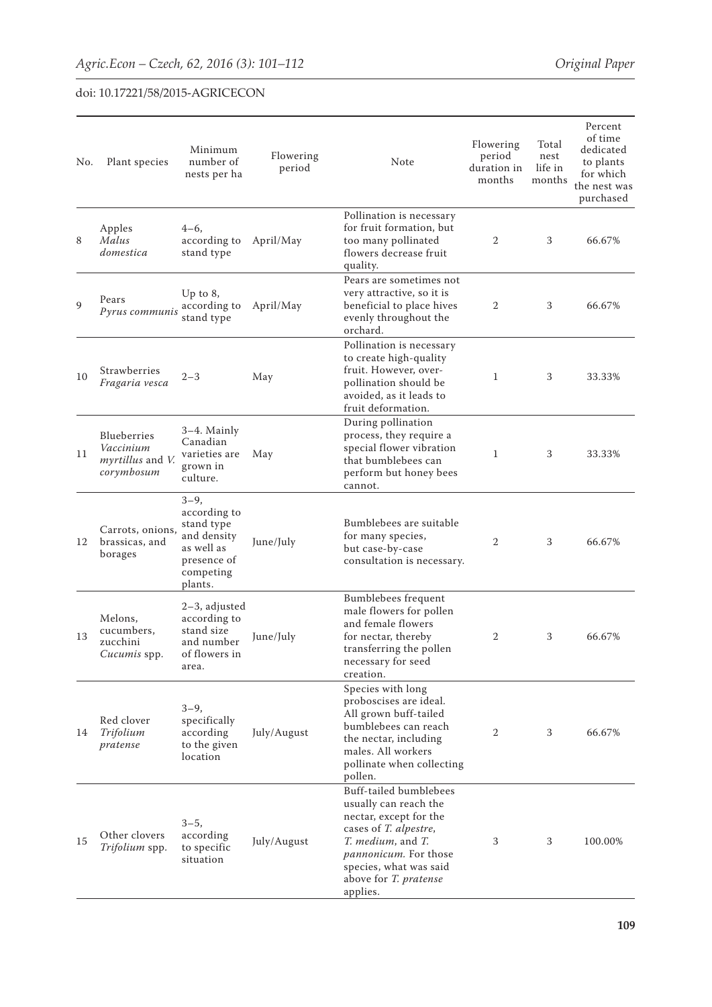| No. | Plant species                                              | Minimum<br>number of<br>nests per ha                                                                     | Flowering<br>period | Note                                                                                                                                                                                                                    | Flowering<br>period<br>duration in<br>months | Total<br>nest<br>life in<br>months | Percent<br>of time<br>dedicated<br>to plants<br>for which<br>the nest was<br>purchased |
|-----|------------------------------------------------------------|----------------------------------------------------------------------------------------------------------|---------------------|-------------------------------------------------------------------------------------------------------------------------------------------------------------------------------------------------------------------------|----------------------------------------------|------------------------------------|----------------------------------------------------------------------------------------|
| 8   | Apples<br>Malus<br>domestica                               | $4 - 6$ ,<br>according to<br>stand type                                                                  | April/May           | Pollination is necessary<br>for fruit formation, but<br>too many pollinated<br>flowers decrease fruit<br>quality.                                                                                                       | $\mathbf{2}$                                 | 3                                  | 66.67%                                                                                 |
| 9   | Pears<br>Pyrus communis                                    | Up to $8$ ,<br>according to<br>stand type                                                                | April/May           | Pears are sometimes not<br>very attractive, so it is<br>beneficial to place hives<br>evenly throughout the<br>orchard.                                                                                                  | 2                                            | 3                                  | 66.67%                                                                                 |
| 10  | Strawberries<br>Fragaria vesca                             | $2 - 3$                                                                                                  | May                 | Pollination is necessary<br>to create high-quality<br>fruit. However, over-<br>pollination should be<br>avoided, as it leads to<br>fruit deformation.                                                                   | 1                                            | 3                                  | 33.33%                                                                                 |
| 11  | Blueberries<br>Vaccinium<br>myrtillus and V.<br>corymbosum | 3-4. Mainly<br>Canadian<br>varieties are<br>grown in<br>culture.                                         | May                 | During pollination<br>process, they require a<br>special flower vibration<br>that bumblebees can<br>perform but honey bees<br>cannot.                                                                                   | $\mathbf{1}$                                 | 3                                  | 33.33%                                                                                 |
| 12  | Carrots, onions,<br>brassicas, and<br>borages              | $3-9,$<br>according to<br>stand type<br>and density<br>as well as<br>presence of<br>competing<br>plants. | June/July           | Bumblebees are suitable<br>for many species,<br>but case-by-case<br>consultation is necessary.                                                                                                                          | $\overline{2}$                               | 3                                  | 66.67%                                                                                 |
| 13  | Melons,<br>cucumbers,<br>zucchini<br>Cucumis spp.          | $2-3$ , adjusted<br>according to<br>stand size<br>and number<br>of flowers in<br>area.                   | June/July           | Bumblebees frequent<br>male flowers for pollen<br>and female flowers<br>for nectar, thereby<br>transferring the pollen<br>necessary for seed<br>creation.                                                               | 2                                            | 3                                  | 66.67%                                                                                 |
| 14  | Red clover<br>Trifolium<br>pratense                        | $3-9,$<br>specifically<br>according<br>to the given<br>location                                          | July/August         | Species with long<br>proboscises are ideal.<br>All grown buff-tailed<br>bumblebees can reach<br>the nectar, including<br>males. All workers<br>pollinate when collecting<br>pollen.                                     | 2                                            | 3                                  | 66.67%                                                                                 |
| 15  | Other clovers<br>Trifolium spp.                            | $3 - 5$ ,<br>according<br>to specific<br>situation                                                       | July/August         | Buff-tailed bumblebees<br>usually can reach the<br>nectar, except for the<br>cases of T. alpestre,<br>T. medium, and T.<br><i>pannonicum</i> . For those<br>species, what was said<br>above for T. pratense<br>applies. | 3                                            | 3                                  | 100.00%                                                                                |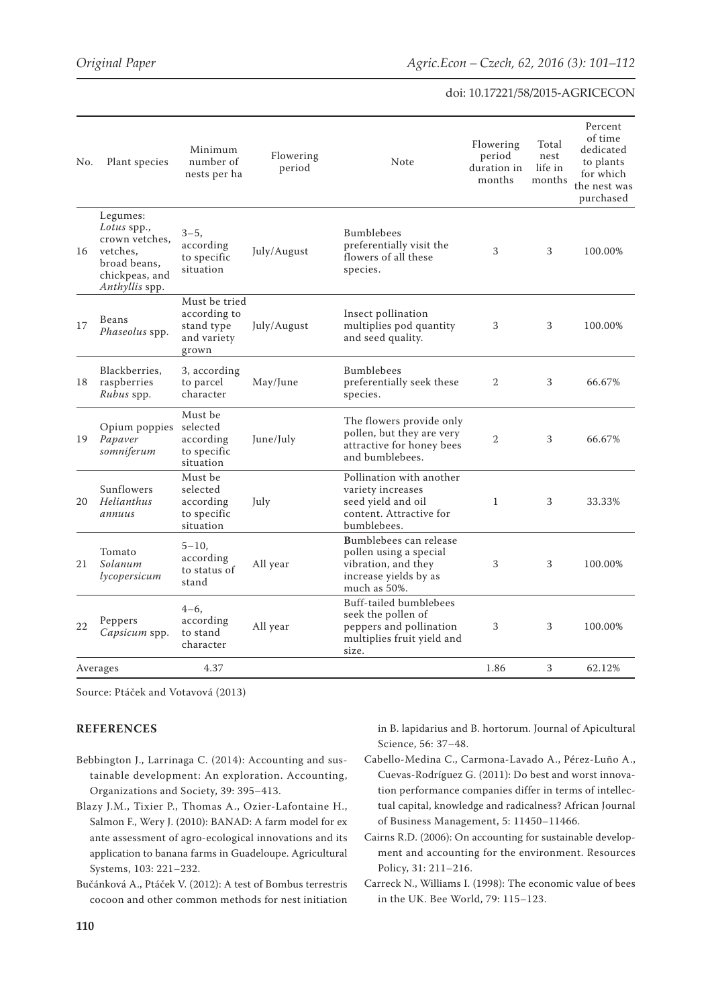| No. | Plant species                                                                                             | Minimum<br>number of<br>nests per ha                                | Flowering<br>period | <b>Note</b>                                                                                                      | Flowering<br>period<br>duration in<br>months | Total<br>nest<br>life in<br>months | Percent<br>of time<br>dedicated<br>to plants<br>for which<br>the nest was<br>purchased |
|-----|-----------------------------------------------------------------------------------------------------------|---------------------------------------------------------------------|---------------------|------------------------------------------------------------------------------------------------------------------|----------------------------------------------|------------------------------------|----------------------------------------------------------------------------------------|
| 16  | Legumes:<br>Lotus spp.,<br>crown vetches,<br>vetches,<br>broad beans,<br>chickpeas, and<br>Anthyllis spp. | $3 - 5$ ,<br>according<br>to specific<br>situation                  | July/August         | <b>Bumblebees</b><br>preferentially visit the<br>flowers of all these<br>species.                                | 3                                            | 3                                  | 100.00%                                                                                |
| 17  | <b>Beans</b><br>Phaseolus spp.                                                                            | Must be tried<br>according to<br>stand type<br>and variety<br>grown | July/August         | Insect pollination<br>multiplies pod quantity<br>and seed quality.                                               | 3                                            | 3                                  | 100.00%                                                                                |
| 18  | Blackberries,<br>raspberries<br>Rubus spp.                                                                | 3, according<br>to parcel<br>character                              | May/June            | <b>Bumblebees</b><br>preferentially seek these<br>species.                                                       | $\mathbf{2}$                                 | 3                                  | 66.67%                                                                                 |
| 19  | Opium poppies<br>Papaver<br>somniferum                                                                    | Must be<br>selected<br>according<br>to specific<br>situation        | June/July           | The flowers provide only<br>pollen, but they are very<br>attractive for honey bees<br>and bumblebees.            | $\overline{2}$                               | 3                                  | 66.67%                                                                                 |
| 20  | Sunflowers<br>Helianthus<br>annuus                                                                        | Must be<br>selected<br>according<br>to specific<br>situation        | July                | Pollination with another<br>variety increases<br>seed yield and oil<br>content. Attractive for<br>bumblebees.    | $\mathbf{1}$                                 | 3                                  | 33.33%                                                                                 |
| 21  | Tomato<br>Solanum<br>lycopersicum                                                                         | $5 - 10$ ,<br>according<br>to status of<br>stand                    | All year            | Bumblebees can release<br>pollen using a special<br>vibration, and they<br>increase yields by as<br>much as 50%. | 3                                            | 3                                  | 100.00%                                                                                |
| 22  | Peppers<br>Capsicum spp.                                                                                  | $4 - 6,$<br>according<br>to stand<br>character                      | All year            | Buff-tailed bumblebees<br>seek the pollen of<br>peppers and pollination<br>multiplies fruit yield and<br>size.   | 3                                            | 3                                  | 100.00%                                                                                |
|     | Averages                                                                                                  | 4.37                                                                |                     |                                                                                                                  | 1.86                                         | 3                                  | 62.12%                                                                                 |

Source: Ptáček and Votavová (2013)

## **REFERENCES**

- Bebbington J., Larrinaga C. (2014): Accounting and sustainable development: An exploration. Accounting, Organizations and Society, 39: 395–413.
- Blazy J.M., Tixier P., Thomas A., Ozier-Lafontaine H., Salmon F., Wery J. (2010): BANAD: A farm model for ex ante assessment of agro-ecological innovations and its application to banana farms in Guadeloupe. Agricultural Systems, 103: 221–232.
- Bučánková A., Ptáček V. (2012): A test of Bombus terrestris cocoon and other common methods for nest initiation

in B. lapidarius and B. hortorum. Journal of Apicultural Science, 56: 37–48.

- Cabello-Medina C., Carmona-Lavado A., Pérez-Luño A., Cuevas-Rodríguez G. (2011): Do best and worst innovation performance companies differ in terms of intellectual capital, knowledge and radicalness? African Journal of Business Management, 5: 11450–11466.
- Cairns R.D. (2006): On accounting for sustainable development and accounting for the environment. Resources Policy, 31: 211–216.
- Carreck N., Williams I. (1998): The economic value of bees in the UK. Bee World, 79: 115–123.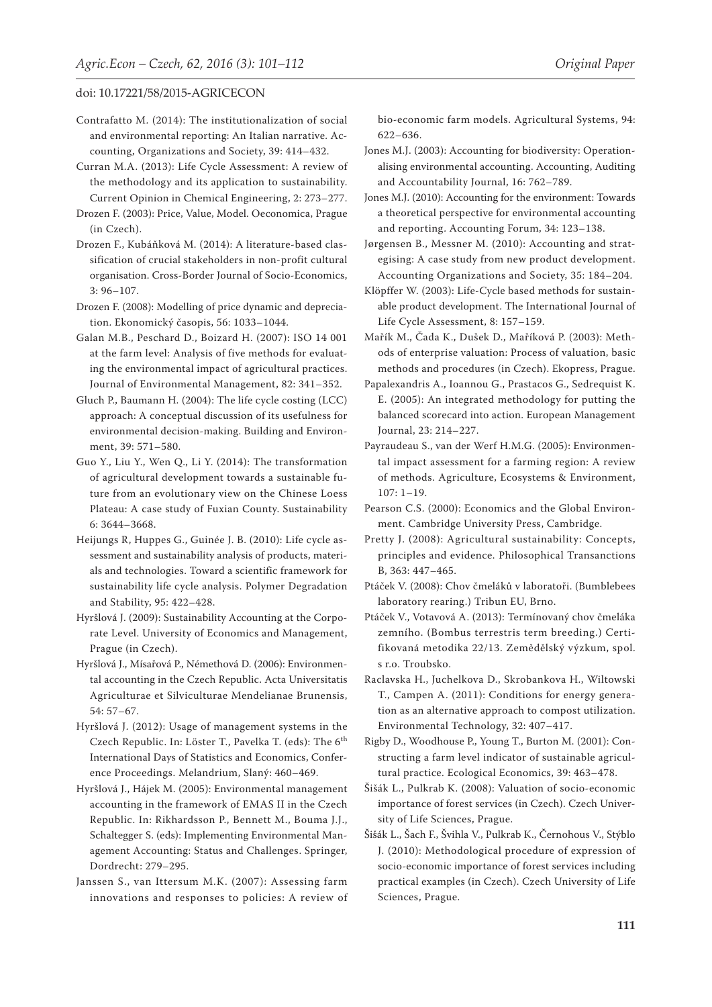- Contrafatto M. (2014): The institutionalization of social and environmental reporting: An Italian narrative. Accounting, Organizations and Society, 39: 414–432.
- Curran M.A. (2013): Life Cycle Assessment: A review of the methodology and its application to sustainability. Current Opinion in Chemical Engineering, 2: 273–277.
- Drozen F. (2003): Price, Value, Model. Oeconomica, Prague (in Czech).
- Drozen F., Kubáňková M. (2014): A literature-based classification of crucial stakeholders in non-profit cultural organisation. Cross-Border Journal of Socio-Economics, 3: 96–107.
- Drozen F. (2008): Modelling of price dynamic and depreciation. Ekonomický časopis, 56: 1033–1044.
- Galan M.B., Peschard D., Boizard H. (2007): ISO 14 001 at the farm level: Analysis of five methods for evaluating the environmental impact of agricultural practices. Journal of Environmental Management, 82: 341–352.
- Gluch P., Baumann H. (2004): The life cycle costing (LCC) approach: A conceptual discussion of its usefulness for environmental decision-making. Building and Environment, 39: 571–580.
- Guo Y., Liu Y., Wen Q., Li Y. (2014): The transformation of agricultural development towards a sustainable future from an evolutionary view on the Chinese Loess Plateau: A case study of Fuxian County. Sustainability 6: 3644–3668.
- Heijungs R, Huppes G., Guinée J. B. (2010): Life cycle assessment and sustainability analysis of products, materials and technologies. Toward a scientific framework for sustainability life cycle analysis. Polymer Degradation and Stability, 95: 422–428.
- Hyršlová J. (2009): Sustainability Accounting at the Corporate Level. University of Economics and Management, Prague (in Czech).
- Hyršlová J., Mísařová P., Némethová D. (2006): Environmental accounting in the Czech Republic. Acta Universitatis Agriculturae et Silviculturae Mendelianae Brunensis, 54: 57–67.
- Hyršlová J. (2012): Usage of management systems in the Czech Republic. In: Löster T., Pavelka T. (eds): The 6th International Days of Statistics and Economics, Conference Proceedings. Melandrium, Slaný: 460–469.
- Hyršlová J., Hájek M. (2005): Environmental management accounting in the framework of EMAS II in the Czech Republic. In: Rikhardsson P., Bennett M., Bouma J.J., Schaltegger S. (eds): Implementing Environmental Management Accounting: Status and Challenges. Springer, Dordrecht: 279–295.
- Janssen S., van Ittersum M.K. (2007): Assessing farm innovations and responses to policies: A review of

bio-economic farm models. Agricultural Systems, 94: 622–636.

- Jones M.J. (2003): Accounting for biodiversity: Operationalising environmental accounting. Accounting, Auditing and Accountability Journal, 16: 762–789.
- Jones M.J. (2010): Accounting for the environment: Towards a theoretical perspective for environmental accounting and reporting. Accounting Forum, 34: 123–138.
- Jørgensen B., Messner M. (2010): Accounting and strategising: A case study from new product development. Accounting Organizations and Society, 35: 184–204.
- Klöpffer W. (2003): Life-Cycle based methods for sustainable product development. The International Journal of Life Cycle Assessment, 8: 157–159.
- Mařík M., Čada K., Dušek D., Maříková P. (2003): Methods of enterprise valuation: Process of valuation, basic methods and procedures (in Czech). Ekopress, Prague.
- Papalexandris A., Ioannou G., Prastacos G., Sedrequist K. E. (2005): An integrated methodology for putting the balanced scorecard into action. European Management Journal, 23: 214–227.
- Payraudeau S., van der Werf H.M.G. (2005): Environmental impact assessment for a farming region: A review of methods. Agriculture, Ecosystems & Environment, 107: 1–19.
- Pearson C.S. (2000): Economics and the Global Environment. Cambridge University Press, Cambridge.
- Pretty J. (2008): Agricultural sustainability: Concepts, principles and evidence. Philosophical Transanctions B, 363: 447–465.
- Ptáček V. (2008): Chov čmeláků v laboratoři. (Bumblebees laboratory rearing.) Tribun EU, Brno.
- Ptáček V., Votavová A. (2013): Termínovaný chov čmeláka zemního. (Bombus terrestris term breeding.) Certifikovaná metodika 22/13. Zemědělský výzkum, spol. s r.o. Troubsko.
- Raclavska H., Juchelkova D., Skrobankova H., Wiltowski T., Campen A. (2011): Conditions for energy generation as an alternative approach to compost utilization. Environmental Technology, 32: 407–417.
- Rigby D., Woodhouse P., Young T., Burton M. (2001): Constructing a farm level indicator of sustainable agricultural practice. Ecological Economics, 39: 463–478.
- Šišák L., Pulkrab K. (2008): Valuation of socio-economic importance of forest services (in Czech). Czech University of Life Sciences, Prague.
- Šišák L., Šach F., Švihla V., Pulkrab K., Černohous V., Stýblo J. (2010): Methodological procedure of expression of socio-economic importance of forest services including practical examples (in Czech). Czech University of Life Sciences, Prague.